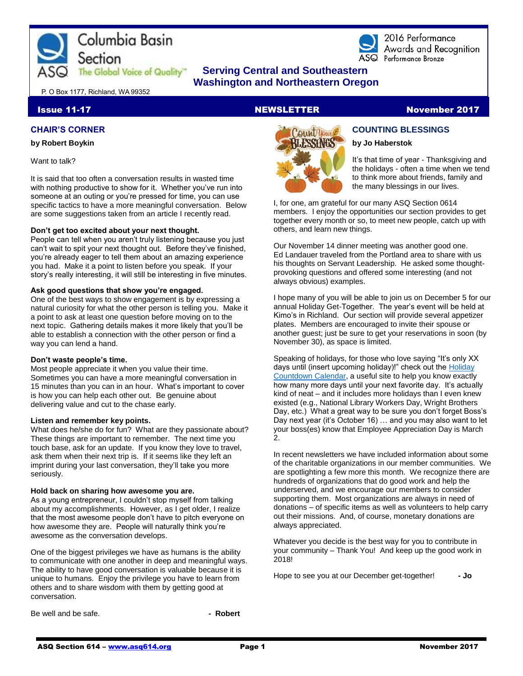



2016 Performance Awards and Recognition ASQ Performance Bronze

# **The Global Voice of Quality"** Serving Central and Southeastern  **Washington and Northeastern Oregon**

P. O Box 1177, Richland, WA 99352

#### **Issue 11-17 NEWSLETTER NEWSLETTER** November 2017

#### **CHAIR'S CORNER**

#### **by Robert Boykin**

Want to talk?

It is said that too often a conversation results in wasted time with nothing productive to show for it. Whether you've run into someone at an outing or you're pressed for time, you can use specific tactics to have a more meaningful conversation. Below are some suggestions taken from an article I recently read.

#### **Don't get too excited about your next thought.**

People can tell when you aren't truly listening because you just can't wait to spit your next thought out. Before they've finished, you're already eager to tell them about an amazing experience you had. Make it a point to listen before you speak. If your story's really interesting, it will still be interesting in five minutes.

#### **Ask good questions that show you're engaged.**

One of the best ways to show engagement is by expressing a natural curiosity for what the other person is telling you. Make it a point to ask at least one question before moving on to the next topic. Gathering details makes it more likely that you'll be able to establish a connection with the other person or find a way you can lend a hand.

#### **Don't waste people's time.**

Most people appreciate it when you value their time. Sometimes you can have a more meaningful conversation in 15 minutes than you can in an hour. What's important to cover is how you can help each other out. Be genuine about delivering value and cut to the chase early.

#### **Listen and remember key points.**

What does he/she do for fun? What are they passionate about? These things are important to remember. The next time you touch base, ask for an update. If you know they love to travel, ask them when their next trip is. If it seems like they left an imprint during your last conversation, they'll take you more seriously.

#### **Hold back on sharing how awesome you are.**

As a young entrepreneur, I couldn't stop myself from talking about my accomplishments. However, as I get older, I realize that the most awesome people don't have to pitch everyone on how awesome they are. People will naturally think you're awesome as the conversation develops.

One of the biggest privileges we have as humans is the ability to communicate with one another in deep and meaningful ways. The ability to have good conversation is valuable because it is unique to humans. Enjoy the privilege you have to learn from others and to share wisdom with them by getting good at conversation.

Be well and be safe. **- All and be safe.** All and be safe.



**by Jo Haberstok** It's that time of year - Thanksgiving and the holidays - often a time when we tend to think more about friends, family and

**COUNTING BLESSINGS**

the many blessings in our lives.

I, for one, am grateful for our many ASQ Section 0614 members. I enjoy the opportunities our section provides to get together every month or so, to meet new people, catch up with others, and learn new things.

Our November 14 dinner meeting was another good one. Ed Landauer traveled from the Portland area to share with us his thoughts on Servant Leadership. He asked some thoughtprovoking questions and offered some interesting (and not always obvious) examples.

I hope many of you will be able to join us on December 5 for our annual Holiday Get-Together. The year's event will be held at Kimo's in Richland. Our section will provide several appetizer plates. Members are encouraged to invite their spouse or another guest; just be sure to get your reservations in soon (by November 30), as space is limited.

Speaking of holidays, for those who love saying "It's only XX days until (insert upcoming holiday)!" check out the [Holiday](https://www.calendardate.com/holidays_2017.php)  [Countdown Calendar,](https://www.calendardate.com/holidays_2017.php) a useful site to help you know exactly how many more days until your next favorite day. It's actually kind of neat – and it includes more holidays than I even knew existed (e.g., National Library Workers Day, Wright Brothers Day, etc.) What a great way to be sure you don't forget Boss's Day next year (it's October 16) … and you may also want to let your boss(es) know that Employee Appreciation Day is March 2.

In recent newsletters we have included information about some of the charitable organizations in our member communities. We are spotlighting a few more this month. We recognize there are hundreds of organizations that do good work and help the underserved, and we encourage our members to consider supporting them. Most organizations are always in need of donations – of specific items as well as volunteers to help carry out their missions. And, of course, monetary donations are always appreciated.

Whatever you decide is the best way for you to contribute in your community – Thank You! And keep up the good work in 2018!

Hope to see you at our December get-together! **- Jo**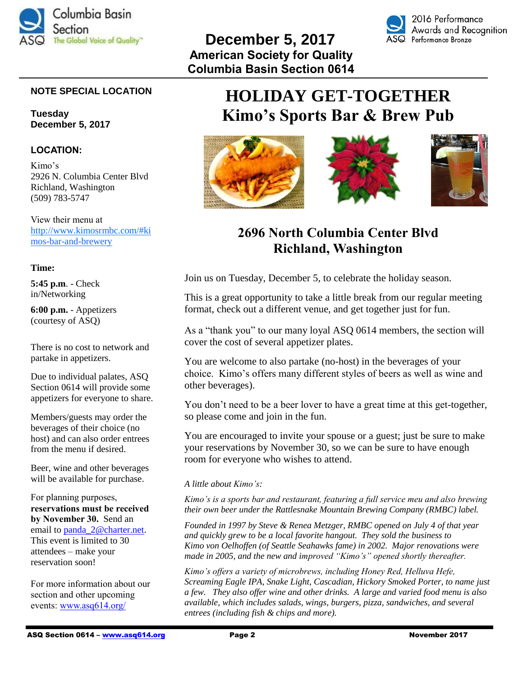



## **NOTE SPECIAL LOCATION**

**Tuesday December 5, 2017**

### **LOCATION:**

Kimo's 2926 N. Columbia Center Blvd Richland, Washington (509) 783-5747

View their menu at [http://www.kimosrmbc.com/#ki](http://www.kimosrmbc.com/#kimos-bar-and-brewery) [mos-bar-and-brewery](http://www.kimosrmbc.com/#kimos-bar-and-brewery)

#### **Time:**

**5:45 p.m**. - Check in/Networking

**6:00 p.m.** - Appetizers (courtesy of ASQ)

There is no cost to network and partake in appetizers.

Due to individual palates, ASQ Section 0614 will provide some appetizers for everyone to share.

Members/guests may order the beverages of their choice (no host) and can also order entrees from the menu if desired.

Beer, wine and other beverages will be available for purchase.

For planning purposes, **reservations must be received by November 30.** Send an email to [panda\\_2@charter.net.](mailto:panda_2@charter.net) This event is limited to 30 attendees – make your reservation soon!

For more information about our section and other upcoming events: [www.asq614.org/](http://www.asq614.org/)

# **HOLIDAY GET-TOGETHER Kimo's Sports Bar & Brew Pub**



# **2696 North Columbia Center Blvd Richland, Washington**

Join us on Tuesday, December 5, to celebrate the holiday season.

This is a great opportunity to take a little break from our regular meeting format, check out a different venue, and get together just for fun.

As a "thank you" to our many loyal ASQ 0614 members, the section will cover the cost of several appetizer plates.

You are welcome to also partake (no-host) in the beverages of your choice. Kimo's offers many different styles of beers as well as wine and other beverages).

You don't need to be a beer lover to have a great time at this get-together, so please come and join in the fun.

You are encouraged to invite your spouse or a guest; just be sure to make your reservations by November 30, so we can be sure to have enough room for everyone who wishes to attend.

#### *A little about Kimo's:*

*Kimo's is a sports bar and restaurant, featuring a full service meu and also brewing their own beer under the Rattlesnake Mountain Brewing Company (RMBC) label.* 

*Founded in 1997 by Steve & Renea Metzger, RMBC opened on July 4 of that year and quickly grew to be a local favorite hangout. They sold the business to Kimo von Oelhoffen (of Seattle Seahawks fame) in 2002. Major renovations were made in 2005, and the new and improved "Kimo's" opened shortly thereafter.* 

*Kimo's offers a variety of microbrews, including Honey Red, Helluva Hefe, Screaming Eagle IPA, Snake Light, Cascadian, Hickory Smoked Porter, to name just a few. They also offer wine and other drinks. A large and varied food menu is also available, which includes salads, wings, burgers, pizza, sandwiches, and several entrees (including fish & chips and more).*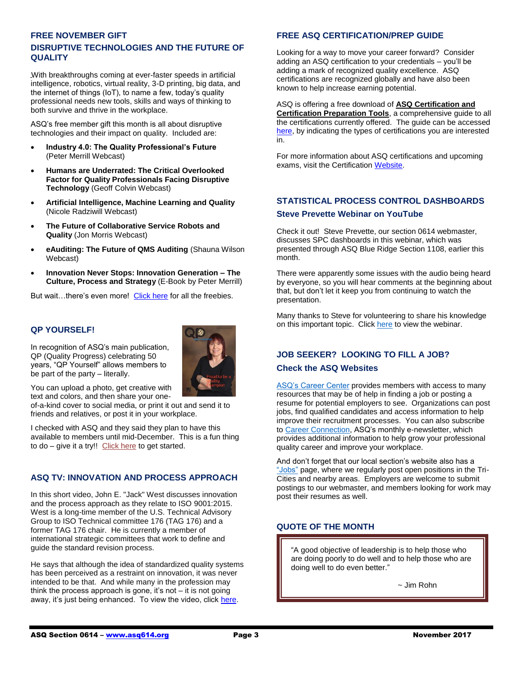#### **FREE NOVEMBER GIFT**

### **DISRUPTIVE TECHNOLOGIES AND THE FUTURE OF QUALITY**

With breakthroughs coming at ever-faster speeds in artificial intelligence, robotics, virtual reality, 3-D printing, big data, and the internet of things (IoT), to name a few, today's quality professional needs new tools, skills and ways of thinking to both survive and thrive in the workplace.

ASQ's free member gift this month is all about disruptive technologies and their impact on quality. Included are:

- **Industry 4.0: The Quality Professional's Future** (Peter Merrill Webcast)
- **Humans are Underrated: The Critical Overlooked Factor for Quality Professionals Facing Disruptive Technology** (Geoff Colvin Webcast)
- **Artificial Intelligence, Machine Learning and Quality** (Nicole Radziwill Webcast)
- **The Future of Collaborative Service Robots and Quality** (Jon Morris Webcast)
- **eAuditing: The Future of QMS Auditing** (Shauna Wilson Webcast)
- **Innovation Never Stops: Innovation Generation – The Culture, Process and Strategy** (E-Book by Peter Merrill)

But wait…there's even more! [Click here](http://asq.org/membership/members/gift/?utm_source=email&utm_medium=email&utm_campaign=marketing_novmembergift_110117) for all the freebies.

#### **QP YOURSELF!**

In recognition of ASQ's main publication, QP (Quality Progress) celebrating 50 years, "QP Yourself" allows members to be part of the party – literally.



You can upload a photo, get creative with text and colors, and then share your one-

of-a-kind cover to social media, or print it out and send it to friends and relatives, or post it in your workplace.

I checked with ASQ and they said they plan to have this available to members until mid-December. This is a fun thing to do – give it a try!! [Click here](http://www.qp-yourself.com/?utm_source=email&utm_medium=email&utm_campaign=communications_fff_11.10.17) to get started.

### **ASQ TV: INNOVATION AND PROCESS APPROACH**

In this short video, John E. "Jack" West discusses innovation and the process approach as they relate to ISO 9001:2015. West is a long-time member of the U.S. Technical Advisory Group to ISO Technical committee 176 (TAG 176) and a former TAG 176 chair. He is currently a member of international strategic committees that work to define and guide the standard revision process.

He says that although the idea of standardized quality systems has been perceived as a restraint on innovation, it was never intended to be that. And while many in the profession may think the process approach is gone, it's not – it is not going away, it's just being enhanced. To view the video, clic[k here.](http://videos.asq.org/innovation-and-process-approach?utm_campaign=communications%5Finsider%20%5F11082017&utm_source=email&utm_medium=email)

#### **FREE ASQ CERTIFICATION/PREP GUIDE**

Looking for a way to move your career forward? Consider adding an ASQ certification to your credentials – you'll be adding a mark of recognized quality excellence. ASQ certifications are recognized globally and have also been known to help increase earning potential.

ASQ is offering a free download of **ASQ Certification and Certification Preparation Tools**, a comprehensive guide to all the certifications currently offered. The guide can be accessed [here,](https://discoverasq.org/mo-certification-and-certification-preparation-tools) by indicating the types of certifications you are interested in.

For more information about ASQ certifications and upcoming exams, visit the Certificatio[n Website.](https://asq.org/cert)

# **STATISTICAL PROCESS CONTROL DASHBOARDS Steve Prevette Webinar on YouTube**

Check it out! Steve Prevette, our section 0614 webmaster, discusses SPC dashboards in this webinar, which was presented through ASQ Blue Ridge Section 1108, earlier this month.

There were apparently some issues with the audio being heard by everyone, so you will hear comments at the beginning about that, but don't let it keep you from continuing to watch the presentation.

Many thanks to Steve for volunteering to share his knowledge on this important topic. Clic[k here](https://www.youtube.com/watch?v=WqiLCNEXYUc) to view the webinar.

# **JOB SEEKER? LOOKING TO FILL A JOB?**

#### **Check the ASQ Websites**

[ASQ's Career Center](http://careers.asq.org/jobs) provides members with access to many resources that may be of help in finding a job or posting a resume for potential employers to see. Organizations can post jobs, find qualified candidates and access information to help improve their recruitment processes. You can also subscribe to [Career Connection,](http://asq.org/newsletters/index.html) ASQ's monthly e-newsletter, which provides additional information to help grow your professional quality career and improve your workplace.

And don't forget that our local section's website also has a ["Jobs"](http://asq614.org/jobs.html) page, where we regularly post open positions in the Tri-Cities and nearby areas. Employers are welcome to submit postings to our webmaster, and members looking for work may post their resumes as well.

# **QUOTE OF THE MONTH**

"A good objective of leadership is to help those who are doing poorly to do well and to help those who are doing well to do even better."

~ Jim Rohn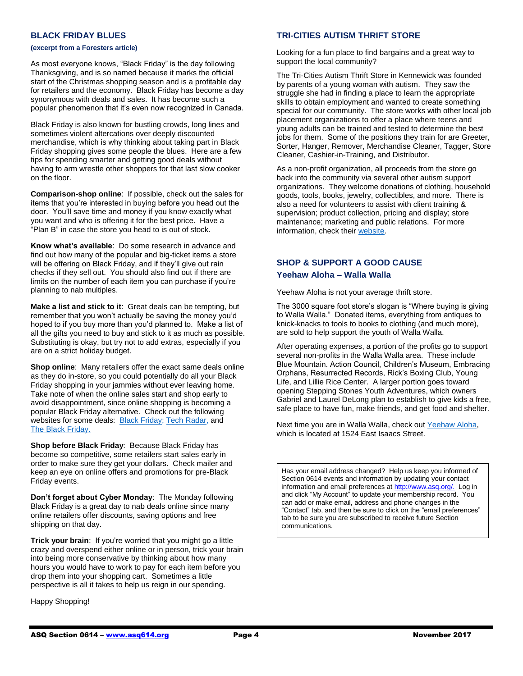#### **BLACK FRIDAY BLUES**

#### **(excerpt from a Foresters article)**

As most everyone knows, "Black Friday" is the day following Thanksgiving, and is so named because it marks the official start of the Christmas shopping season and is a profitable day for retailers and the economy. Black Friday has become a day synonymous with deals and sales. It has become such a popular phenomenon that it's even now recognized in Canada.

Black Friday is also known for bustling crowds, long lines and sometimes violent altercations over deeply discounted merchandise, which is why thinking about taking part in Black Friday shopping gives some people the blues. Here are a few tips for spending smarter and getting good deals without having to arm wrestle other shoppers for that last slow cooker on the floor.

**Comparison-shop online**: If possible, check out the sales for items that you're interested in buying before you head out the door. You'll save time and money if you know exactly what you want and who is offering it for the best price. Have a "Plan B" in case the store you head to is out of stock.

**Know what's available**: Do some research in advance and find out how many of the popular and big-ticket items a store will be offering on Black Friday, and if they'll give out rain checks if they sell out. You should also find out if there are limits on the number of each item you can purchase if you're planning to nab multiples.

**Make a list and stick to it**: Great deals can be tempting, but remember that you won't actually be saving the money you'd hoped to if you buy more than you'd planned to. Make a list of all the gifts you need to buy and stick to it as much as possible. Substituting is okay, but try not to add extras, especially if you are on a strict holiday budget.

**Shop online**: Many retailers offer the exact same deals online as they do in-store, so you could potentially do all your Black Friday shopping in your jammies without ever leaving home. Take note of when the online sales start and shop early to avoid disappointment, since online shopping is becoming a popular Black Friday alternative. Check out the following websites for some deals: [Black Friday;](https://blackfriday.com/) Tech [Radar,](http://www.techradar.com/news/black-friday-2017-usa) and The [Black Friday.](https://www.theblackfriday.com/)

**Shop before Black Friday**: Because Black Friday has become so competitive, some retailers start sales early in order to make sure they get your dollars. Check mailer and keep an eye on online offers and promotions for pre-Black Friday events.

**Don't forget about Cyber Monday**: The Monday following Black Friday is a great day to nab deals online since many online retailers offer discounts, saving options and free shipping on that day.

**Trick your brain**: If you're worried that you might go a little crazy and overspend either online or in person, trick your brain into being more conservative by thinking about how many hours you would have to work to pay for each item before you drop them into your shopping cart. Sometimes a little perspective is all it takes to help us reign in our spending.

Happy Shopping!

#### **TRI-CITIES AUTISM THRIFT STORE**

Looking for a fun place to find bargains and a great way to support the local community?

The Tri-Cities Autism Thrift Store in Kennewick was founded by parents of a young woman with autism. They saw the struggle she had in finding a place to learn the appropriate skills to obtain employment and wanted to create something special for our community. The store works with other local job placement organizations to offer a place where teens and young adults can be trained and tested to determine the best jobs for them. Some of the positions they train for are Greeter, Sorter, Hanger, Remover, Merchandise Cleaner, Tagger, Store Cleaner, Cashier-in-Training, and Distributor.

As a non-profit organization, all proceeds from the store go back into the community via several other autism support organizations. They welcome donations of clothing, household goods, tools, books, jewelry, collectibles, and more. There is also a need for volunteers to assist with client training & supervision; product collection, pricing and display; store maintenance; marketing and public relations. For more information, check thei[r website.](http://www.tcautismthriftstore.com/)

# **SHOP & SUPPORT A GOOD CAUSE Yeehaw Aloha – Walla Walla**

Yeehaw Aloha is not your average thrift store.

The 3000 square foot store's slogan is "Where buying is giving to Walla Walla." Donated items, everything from antiques to knick-knacks to tools to books to clothing (and much more), are sold to help support the youth of Walla Walla.

After operating expenses, a portion of the profits go to support several non-profits in the Walla Walla area. These include Blue Mountain. Action Council, Children's Museum, Embracing Orphans, Resurrected Records, Rick's Boxing Club, Young Life, and Lillie Rice Center. A larger portion goes toward opening Stepping Stones Youth Adventures, which owners Gabriel and Laurel DeLong plan to establish to give kids a free, safe place to have fun, make friends, and get food and shelter.

Next time you are in Walla Walla, check out [Yeehaw Aloha,](https://www.yeehawaloha.com/) which is located at 1524 East Isaacs Street.

Has your email address changed? Help us keep you informed of Section 0614 events and information by updating your contact information and email preferences a[t http://www.asq.org/.](http://www.asq.org/) Log in and click "My Account" to update your membership record. You can add or make email, address and phone changes in the "Contact" tab, and then be sure to click on the "email preferences" tab to be sure you are subscribed to receive future Section communications.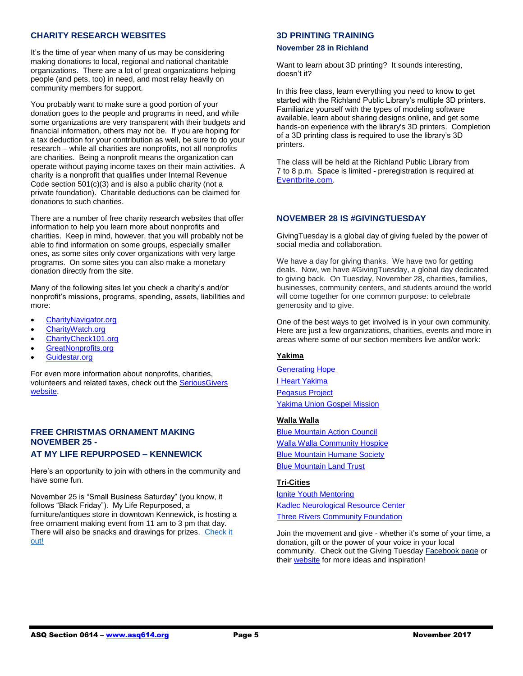#### **CHARITY RESEARCH WEBSITES**

It's the time of year when many of us may be considering making donations to local, regional and national charitable organizations. There are a lot of great organizations helping people (and pets, too) in need, and most relay heavily on community members for support.

You probably want to make sure a good portion of your donation goes to the people and programs in need, and while some organizations are very transparent with their budgets and financial information, others may not be. If you are hoping for a tax deduction for your contribution as well, be sure to do your research – while all charities are nonprofits, not all nonprofits are charities. Being a nonprofit means the organization can operate without paying income taxes on their main activities. A charity is a nonprofit that qualifies under Internal Revenue Code section 501(c)(3) and is also a public charity (not a private foundation). Charitable deductions can be claimed for donations to such charities.

There are a number of free charity research websites that offer information to help you learn more about nonprofits and charities. Keep in mind, however, that you will probably not be able to find information on some groups, especially smaller ones, as some sites only cover organizations with very large programs. On some sites you can also make a monetary donation directly from the site.

Many of the following sites let you check a charity's and/or nonprofit's missions, programs, spending, assets, liabilities and more:

- [CharityNavigator.org](http://charitynavigator.org/)
- [CharityWatch.org](http://charitywatch.org/)
- [CharityCheck101.org](http://charitycheck101.org/)
- [GreatNonprofits.org](http://greatnonprofits.org/)
- [Guidestar.org](http://guidestar.org/)

For even more information about nonprofits, charities, volunteers and related taxes, check out the [SeriousGivers](http://seriousgivers.org/)  [website.](http://seriousgivers.org/)

# **FREE CHRISTMAS ORNAMENT MAKING NOVEMBER 25 -**

#### **AT MY LIFE REPURPOSED – KENNEWICK**

Here's an opportunity to join with others in the community and have some fun.

November 25 is "Small Business Saturday" (you know, it follows "Black Friday"). My Life Repurposed, a furniture/antiques store in downtown Kennewick, is hosting a free ornament making event from 11 am to 3 pm that day. There will also be snacks and drawings for prizes. [Check it](https://www.facebook.com/events/485563438485137/?acontext=%7B%22ref%22%3A%2229%22%2C%22ref_notif_type%22%3A%22event_calendar_create%22%2C%22action_history%22%3A%22null%22%7D¬if_id=1509045475363434¬if_t=event_calendar_create)  [out!](https://www.facebook.com/events/485563438485137/?acontext=%7B%22ref%22%3A%2229%22%2C%22ref_notif_type%22%3A%22event_calendar_create%22%2C%22action_history%22%3A%22null%22%7D¬if_id=1509045475363434¬if_t=event_calendar_create)

#### **3D PRINTING TRAINING**

#### **November 28 in Richland**

Want to learn about 3D printing? It sounds interesting, doesn't it?

In this free class, learn everything you need to know to get started with the Richland Public Library's multiple 3D printers. Familiarize yourself with the types of modeling software available, learn about sharing designs online, and get some hands-on experience with the library's 3D printers. Completion of a 3D printing class is required to use the library's 3D printers.

The class will be held at the Richland Public Library from 7 to 8 p.m. Space is limited - preregistration is required at [Eventbrite.com.](https://www.eventbrite.com/e/3d-printing-training-tickets-39463081138?aff=es2)

#### **NOVEMBER 28 IS #GIVINGTUESDAY**

GivingTuesday is a global day of giving fueled by the power of social media and collaboration.

We have a day for giving thanks. We have two for getting deals. Now, we have #GivingTuesday, a global day dedicated to giving back. On Tuesday, November 28, charities, families, businesses, community centers, and students around the world will come together for one common purpose: to celebrate generosity and to give.

One of the best ways to get involved is in your own community. Here are just a few organizations, charities, events and more in areas where some of our section members live and/or work:

#### **Yakima**

[Generating Hope](http://www.generatinghope.org/) [I Heart Yakima](http://www.iheartyakima.com/) [Pegasus Project](http://www.pegasusrides.com/) [Yakima Union Gospel Mission](https://www.yugm.org/)

#### **Walla Walla**

[Blue Mountain Action Council](https://www.bmacww.org/) [Walla Walla Community Hospice](http://www.wwhospice.org/) [Blue Mountain Humane Society](http://bluemountainhumane.org/) [Blue Mountain Land Trust](http://bmlt.org/)

#### **Tri-Cities**

[Ignite Youth Mentoring](http://igniteyouthmentoring.com/) [Kadlec Neurological Resource Center](http://www.kadlec.org/neurological-resource-center?/knrc) **[Three Rivers Community Foundation](http://www.3rcf.org/)** 

Join the movement and give - whether it's some of your time, a donation, gift or the power of your voice in your local community. Check out the Giving Tuesday [Facebook](https://www.facebook.com/GivingTuesday/) page or their [website](http://www.givingtuesday.org/) for more ideas and inspiration!